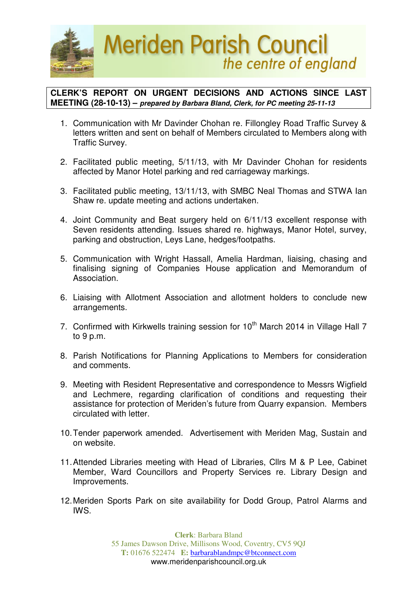

## **CLERK'S REPORT ON URGENT DECISIONS AND ACTIONS SINCE LAST MEETING (28-10-13) – prepared by Barbara Bland, Clerk, for PC meeting 25-11-13**

- 1. Communication with Mr Davinder Chohan re. Fillongley Road Traffic Survey & letters written and sent on behalf of Members circulated to Members along with Traffic Survey.
- 2. Facilitated public meeting, 5/11/13, with Mr Davinder Chohan for residents affected by Manor Hotel parking and red carriageway markings.
- 3. Facilitated public meeting, 13/11/13, with SMBC Neal Thomas and STWA Ian Shaw re. update meeting and actions undertaken.
- 4. Joint Community and Beat surgery held on 6/11/13 excellent response with Seven residents attending. Issues shared re. highways, Manor Hotel, survey, parking and obstruction, Leys Lane, hedges/footpaths.
- 5. Communication with Wright Hassall, Amelia Hardman, liaising, chasing and finalising signing of Companies House application and Memorandum of Association.
- 6. Liaising with Allotment Association and allotment holders to conclude new arrangements.
- 7. Confirmed with Kirkwells training session for 10<sup>th</sup> March 2014 in Village Hall 7 to 9 p.m.
- 8. Parish Notifications for Planning Applications to Members for consideration and comments.
- 9. Meeting with Resident Representative and correspondence to Messrs Wigfield and Lechmere, regarding clarification of conditions and requesting their assistance for protection of Meriden's future from Quarry expansion. Members circulated with letter.
- 10. Tender paperwork amended. Advertisement with Meriden Mag, Sustain and on website.
- 11. Attended Libraries meeting with Head of Libraries, Cllrs M & P Lee, Cabinet Member, Ward Councillors and Property Services re. Library Design and Improvements.
- 12. Meriden Sports Park on site availability for Dodd Group, Patrol Alarms and IWS.